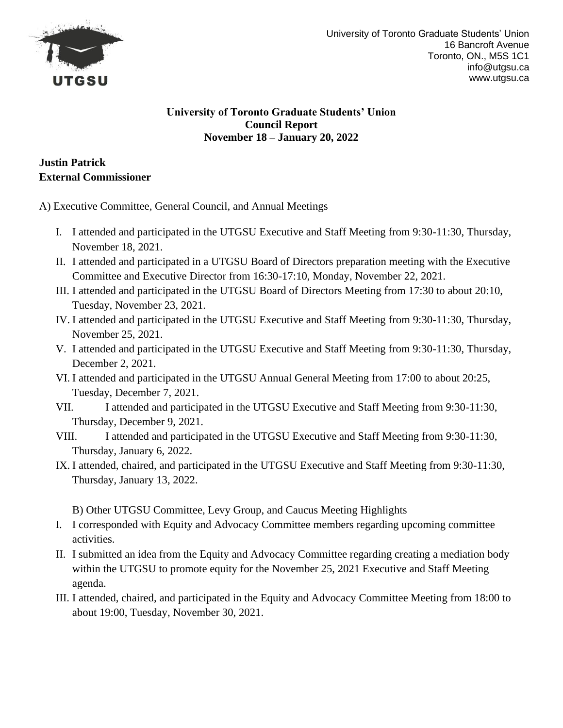

# **Justin Patrick External Commissioner**

A) Executive Committee, General Council, and Annual Meetings

- I. I attended and participated in the UTGSU Executive and Staff Meeting from 9:30-11:30, Thursday, November 18, 2021.
- II. I attended and participated in a UTGSU Board of Directors preparation meeting with the Executive Committee and Executive Director from 16:30-17:10, Monday, November 22, 2021.
- III. I attended and participated in the UTGSU Board of Directors Meeting from 17:30 to about 20:10, Tuesday, November 23, 2021.
- IV. I attended and participated in the UTGSU Executive and Staff Meeting from 9:30-11:30, Thursday, November 25, 2021.
- V. I attended and participated in the UTGSU Executive and Staff Meeting from 9:30-11:30, Thursday, December 2, 2021.
- VI. I attended and participated in the UTGSU Annual General Meeting from 17:00 to about 20:25, Tuesday, December 7, 2021.
- VII. I attended and participated in the UTGSU Executive and Staff Meeting from 9:30-11:30, Thursday, December 9, 2021.
- VIII. I attended and participated in the UTGSU Executive and Staff Meeting from 9:30-11:30, Thursday, January 6, 2022.
- IX. I attended, chaired, and participated in the UTGSU Executive and Staff Meeting from 9:30-11:30, Thursday, January 13, 2022.

B) Other UTGSU Committee, Levy Group, and Caucus Meeting Highlights

- I. I corresponded with Equity and Advocacy Committee members regarding upcoming committee activities.
- II. I submitted an idea from the Equity and Advocacy Committee regarding creating a mediation body within the UTGSU to promote equity for the November 25, 2021 Executive and Staff Meeting agenda.
- III. I attended, chaired, and participated in the Equity and Advocacy Committee Meeting from 18:00 to about 19:00, Tuesday, November 30, 2021.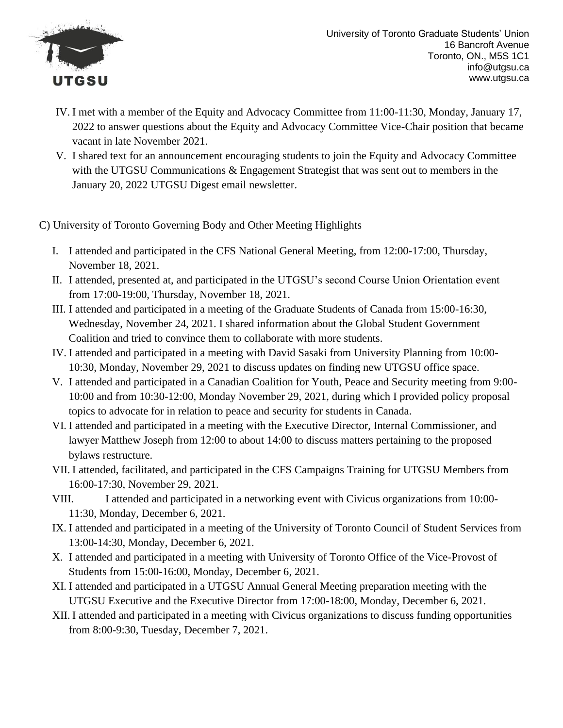

- IV. I met with a member of the Equity and Advocacy Committee from 11:00-11:30, Monday, January 17, 2022 to answer questions about the Equity and Advocacy Committee Vice-Chair position that became vacant in late November 2021.
- V. I shared text for an announcement encouraging students to join the Equity and Advocacy Committee with the UTGSU Communications & Engagement Strategist that was sent out to members in the January 20, 2022 UTGSU Digest email newsletter.
- C) University of Toronto Governing Body and Other Meeting Highlights
	- I. I attended and participated in the CFS National General Meeting, from 12:00-17:00, Thursday, November 18, 2021.
	- II. I attended, presented at, and participated in the UTGSU's second Course Union Orientation event from 17:00-19:00, Thursday, November 18, 2021.
	- III. I attended and participated in a meeting of the Graduate Students of Canada from 15:00-16:30, Wednesday, November 24, 2021. I shared information about the Global Student Government Coalition and tried to convince them to collaborate with more students.
	- IV. I attended and participated in a meeting with David Sasaki from University Planning from 10:00- 10:30, Monday, November 29, 2021 to discuss updates on finding new UTGSU office space.
	- V. I attended and participated in a Canadian Coalition for Youth, Peace and Security meeting from 9:00- 10:00 and from 10:30-12:00, Monday November 29, 2021, during which I provided policy proposal topics to advocate for in relation to peace and security for students in Canada.
	- VI. I attended and participated in a meeting with the Executive Director, Internal Commissioner, and lawyer Matthew Joseph from 12:00 to about 14:00 to discuss matters pertaining to the proposed bylaws restructure.
	- VII. I attended, facilitated, and participated in the CFS Campaigns Training for UTGSU Members from 16:00-17:30, November 29, 2021.
	- VIII. I attended and participated in a networking event with Civicus organizations from 10:00-11:30, Monday, December 6, 2021.
	- IX. I attended and participated in a meeting of the University of Toronto Council of Student Services from 13:00-14:30, Monday, December 6, 2021.
	- X. I attended and participated in a meeting with University of Toronto Office of the Vice-Provost of Students from 15:00-16:00, Monday, December 6, 2021.
	- XI. I attended and participated in a UTGSU Annual General Meeting preparation meeting with the UTGSU Executive and the Executive Director from 17:00-18:00, Monday, December 6, 2021.
	- XII. I attended and participated in a meeting with Civicus organizations to discuss funding opportunities from 8:00-9:30, Tuesday, December 7, 2021.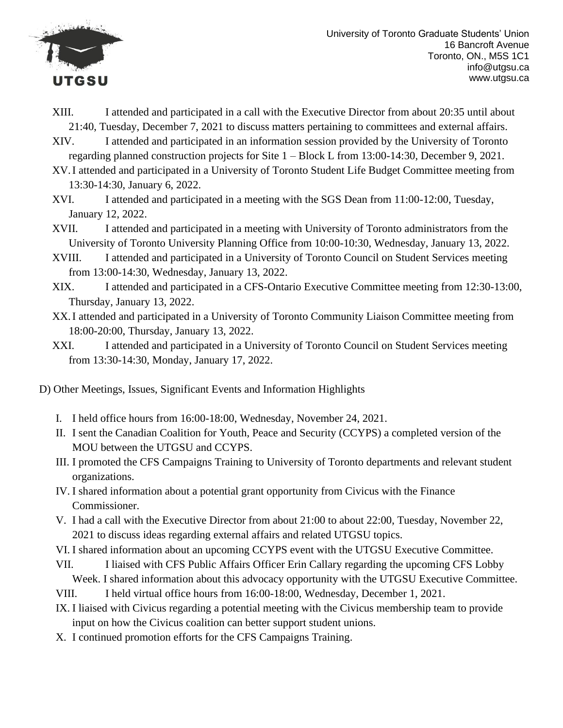

- XIII. I attended and participated in a call with the Executive Director from about 20:35 until about 21:40, Tuesday, December 7, 2021 to discuss matters pertaining to committees and external affairs.
- XIV. I attended and participated in an information session provided by the University of Toronto regarding planned construction projects for Site 1 – Block L from 13:00-14:30, December 9, 2021.
- XV.I attended and participated in a University of Toronto Student Life Budget Committee meeting from 13:30-14:30, January 6, 2022.
- XVI. I attended and participated in a meeting with the SGS Dean from 11:00-12:00, Tuesday, January 12, 2022.
- XVII. I attended and participated in a meeting with University of Toronto administrators from the University of Toronto University Planning Office from 10:00-10:30, Wednesday, January 13, 2022.
- XVIII. I attended and participated in a University of Toronto Council on Student Services meeting from 13:00-14:30, Wednesday, January 13, 2022.
- XIX. I attended and participated in a CFS-Ontario Executive Committee meeting from 12:30-13:00, Thursday, January 13, 2022.
- XX.I attended and participated in a University of Toronto Community Liaison Committee meeting from 18:00-20:00, Thursday, January 13, 2022.
- XXI. I attended and participated in a University of Toronto Council on Student Services meeting from 13:30-14:30, Monday, January 17, 2022.
- D) Other Meetings, Issues, Significant Events and Information Highlights
	- I. I held office hours from 16:00-18:00, Wednesday, November 24, 2021.
	- II. I sent the Canadian Coalition for Youth, Peace and Security (CCYPS) a completed version of the MOU between the UTGSU and CCYPS.
	- III. I promoted the CFS Campaigns Training to University of Toronto departments and relevant student organizations.
	- IV. I shared information about a potential grant opportunity from Civicus with the Finance Commissioner.
	- V. I had a call with the Executive Director from about 21:00 to about 22:00, Tuesday, November 22, 2021 to discuss ideas regarding external affairs and related UTGSU topics.
	- VI. I shared information about an upcoming CCYPS event with the UTGSU Executive Committee.
	- VII. I liaised with CFS Public Affairs Officer Erin Callary regarding the upcoming CFS Lobby Week. I shared information about this advocacy opportunity with the UTGSU Executive Committee.
	- VIII. I held virtual office hours from 16:00-18:00, Wednesday, December 1, 2021.
	- IX. I liaised with Civicus regarding a potential meeting with the Civicus membership team to provide input on how the Civicus coalition can better support student unions.
	- X. I continued promotion efforts for the CFS Campaigns Training.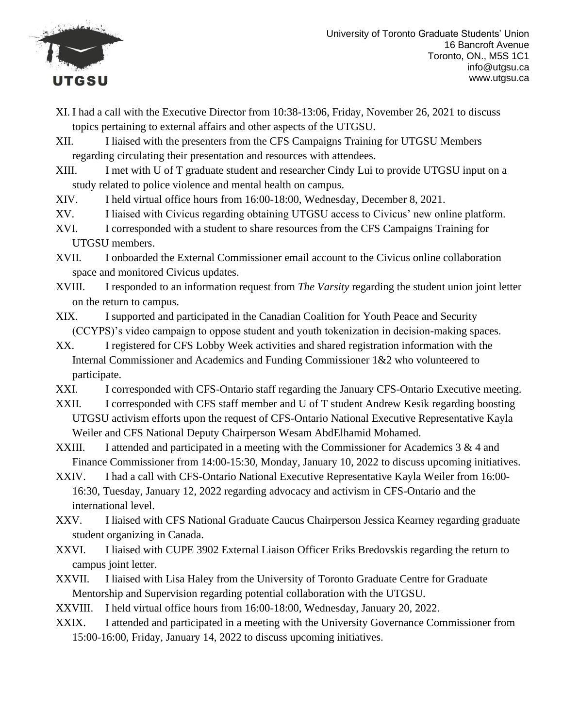

- XI. I had a call with the Executive Director from 10:38-13:06, Friday, November 26, 2021 to discuss topics pertaining to external affairs and other aspects of the UTGSU.
- XII. I liaised with the presenters from the CFS Campaigns Training for UTGSU Members regarding circulating their presentation and resources with attendees.
- XIII. I met with U of T graduate student and researcher Cindy Lui to provide UTGSU input on a study related to police violence and mental health on campus.
- XIV. I held virtual office hours from 16:00-18:00, Wednesday, December 8, 2021.
- XV. I liaised with Civicus regarding obtaining UTGSU access to Civicus' new online platform.
- XVI. I corresponded with a student to share resources from the CFS Campaigns Training for UTGSU members.
- XVII. I onboarded the External Commissioner email account to the Civicus online collaboration space and monitored Civicus updates.
- XVIII. I responded to an information request from *The Varsity* regarding the student union joint letter on the return to campus.
- XIX. I supported and participated in the Canadian Coalition for Youth Peace and Security (CCYPS)'s video campaign to oppose student and youth tokenization in decision-making spaces.
- XX. I registered for CFS Lobby Week activities and shared registration information with the Internal Commissioner and Academics and Funding Commissioner 1&2 who volunteered to participate.
- XXI. I corresponded with CFS-Ontario staff regarding the January CFS-Ontario Executive meeting.
- XXII. I corresponded with CFS staff member and U of T student Andrew Kesik regarding boosting UTGSU activism efforts upon the request of CFS-Ontario National Executive Representative Kayla Weiler and CFS National Deputy Chairperson Wesam AbdElhamid Mohamed.
- XXIII. I attended and participated in a meeting with the Commissioner for Academics  $3 & 4$  and Finance Commissioner from 14:00-15:30, Monday, January 10, 2022 to discuss upcoming initiatives.
- XXIV. I had a call with CFS-Ontario National Executive Representative Kayla Weiler from 16:00- 16:30, Tuesday, January 12, 2022 regarding advocacy and activism in CFS-Ontario and the international level.
- XXV. I liaised with CFS National Graduate Caucus Chairperson Jessica Kearney regarding graduate student organizing in Canada.
- XXVI. I liaised with CUPE 3902 External Liaison Officer Eriks Bredovskis regarding the return to campus joint letter.
- XXVII. I liaised with Lisa Haley from the University of Toronto Graduate Centre for Graduate Mentorship and Supervision regarding potential collaboration with the UTGSU.
- XXVIII. I held virtual office hours from 16:00-18:00, Wednesday, January 20, 2022.
- XXIX. I attended and participated in a meeting with the University Governance Commissioner from 15:00-16:00, Friday, January 14, 2022 to discuss upcoming initiatives.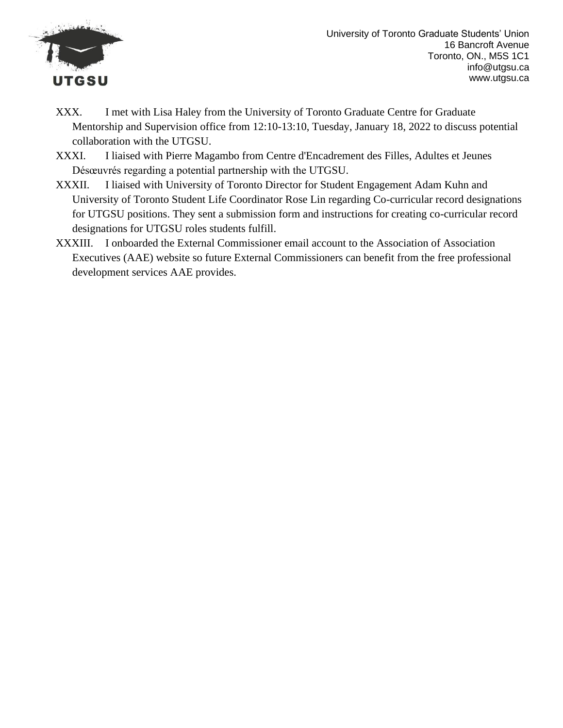

- XXX. I met with Lisa Haley from the University of Toronto Graduate Centre for Graduate Mentorship and Supervision office from 12:10-13:10, Tuesday, January 18, 2022 to discuss potential collaboration with the UTGSU.
- XXXI. I liaised with Pierre Magambo from Centre d'Encadrement des Filles, Adultes et Jeunes Désœuvrés regarding a potential partnership with the UTGSU.
- XXXII. I liaised with University of Toronto Director for Student Engagement Adam Kuhn and University of Toronto Student Life Coordinator Rose Lin regarding Co-curricular record designations for UTGSU positions. They sent a submission form and instructions for creating co-curricular record designations for UTGSU roles students fulfill.
- XXXIII. I onboarded the External Commissioner email account to the Association of Association Executives (AAE) website so future External Commissioners can benefit from the free professional development services AAE provides.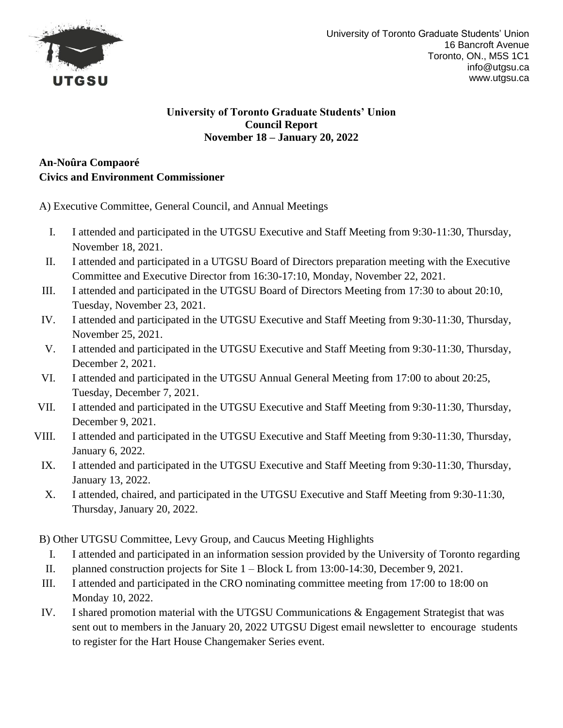

### **An-Noûra Compaoré Civics and Environment Commissioner**

A) Executive Committee, General Council, and Annual Meetings

- I. I attended and participated in the UTGSU Executive and Staff Meeting from 9:30-11:30, Thursday, November 18, 2021.
- II. I attended and participated in a UTGSU Board of Directors preparation meeting with the Executive Committee and Executive Director from 16:30-17:10, Monday, November 22, 2021.
- III. I attended and participated in the UTGSU Board of Directors Meeting from 17:30 to about 20:10, Tuesday, November 23, 2021.
- IV. I attended and participated in the UTGSU Executive and Staff Meeting from 9:30-11:30, Thursday, November 25, 2021.
- V. I attended and participated in the UTGSU Executive and Staff Meeting from 9:30-11:30, Thursday, December 2, 2021.
- VI. I attended and participated in the UTGSU Annual General Meeting from 17:00 to about 20:25, Tuesday, December 7, 2021.
- VII. I attended and participated in the UTGSU Executive and Staff Meeting from 9:30-11:30, Thursday, December 9, 2021.
- VIII. I attended and participated in the UTGSU Executive and Staff Meeting from 9:30-11:30, Thursday, January 6, 2022.
	- IX. I attended and participated in the UTGSU Executive and Staff Meeting from 9:30-11:30, Thursday, January 13, 2022.
	- X. I attended, chaired, and participated in the UTGSU Executive and Staff Meeting from 9:30-11:30, Thursday, January 20, 2022.

B) Other UTGSU Committee, Levy Group, and Caucus Meeting Highlights

- I. I attended and participated in an information session provided by the University of Toronto regarding
- II. planned construction projects for Site 1 Block L from 13:00-14:30, December 9, 2021.
- III. I attended and participated in the CRO nominating committee meeting from 17:00 to 18:00 on Monday 10, 2022.
- IV. I shared promotion material with the UTGSU Communications & Engagement Strategist that was sent out to members in the January 20, 2022 UTGSU Digest email newsletter to encourage students to register for the Hart House Changemaker Series event.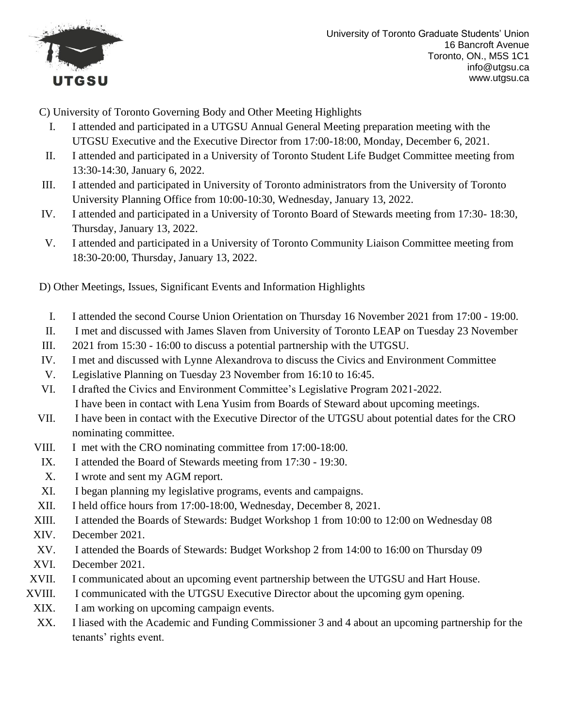

C) University of Toronto Governing Body and Other Meeting Highlights

- I. I attended and participated in a UTGSU Annual General Meeting preparation meeting with the UTGSU Executive and the Executive Director from 17:00-18:00, Monday, December 6, 2021.
- II. I attended and participated in a University of Toronto Student Life Budget Committee meeting from 13:30-14:30, January 6, 2022.
- III. I attended and participated in University of Toronto administrators from the University of Toronto University Planning Office from 10:00-10:30, Wednesday, January 13, 2022.
- IV. I attended and participated in a University of Toronto Board of Stewards meeting from 17:30- 18:30, Thursday, January 13, 2022.
- V. I attended and participated in a University of Toronto Community Liaison Committee meeting from 18:30-20:00, Thursday, January 13, 2022.

D) Other Meetings, Issues, Significant Events and Information Highlights

- I. I attended the second Course Union Orientation on Thursday 16 November 2021 from 17:00 19:00.
- II. I met and discussed with James Slaven from University of Toronto LEAP on Tuesday 23 November
- III. 2021 from 15:30 16:00 to discuss a potential partnership with the UTGSU.
- IV. I met and discussed with Lynne Alexandrova to discuss the Civics and Environment Committee
- V. Legislative Planning on Tuesday 23 November from 16:10 to 16:45.
- VI. I drafted the Civics and Environment Committee's Legislative Program 2021-2022. I have been in contact with Lena Yusim from Boards of Steward about upcoming meetings.
- VII. I have been in contact with the Executive Director of the UTGSU about potential dates for the CRO nominating committee.
- VIII. I met with the CRO nominating committee from 17:00-18:00.
- IX. I attended the Board of Stewards meeting from 17:30 19:30.
- X. I wrote and sent my AGM report.
- XI. I began planning my legislative programs, events and campaigns.
- XII. I held office hours from 17:00-18:00, Wednesday, December 8, 2021.
- XIII. I attended the Boards of Stewards: Budget Workshop 1 from 10:00 to 12:00 on Wednesday 08
- XIV. December 2021.
- XV. I attended the Boards of Stewards: Budget Workshop 2 from 14:00 to 16:00 on Thursday 09
- XVI. December 2021.
- XVII. I communicated about an upcoming event partnership between the UTGSU and Hart House.
- XVIII. I communicated with the UTGSU Executive Director about the upcoming gym opening.
- XIX. I am working on upcoming campaign events.
	- XX. I liased with the Academic and Funding Commissioner 3 and 4 about an upcoming partnership for the tenants' rights event.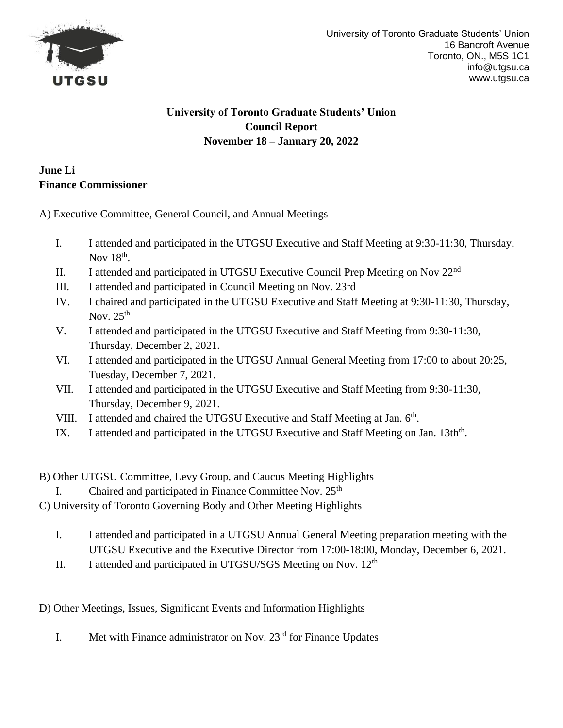

### **June Li Finance Commissioner**

A) Executive Committee, General Council, and Annual Meetings

- I. I attended and participated in the UTGSU Executive and Staff Meeting at 9:30-11:30, Thursday, Nov  $18<sup>th</sup>$ .
- II. I attended and participated in UTGSU Executive Council Prep Meeting on Nov 22nd
- III. I attended and participated in Council Meeting on Nov. 23rd
- IV. I chaired and participated in the UTGSU Executive and Staff Meeting at 9:30-11:30, Thursday, Nov.  $25<sup>th</sup>$
- V. I attended and participated in the UTGSU Executive and Staff Meeting from 9:30-11:30, Thursday, December 2, 2021.
- VI. I attended and participated in the UTGSU Annual General Meeting from 17:00 to about 20:25, Tuesday, December 7, 2021.
- VII. I attended and participated in the UTGSU Executive and Staff Meeting from 9:30-11:30, Thursday, December 9, 2021.
- VIII. I attended and chaired the UTGSU Executive and Staff Meeting at Jan. 6<sup>th</sup>.
- IX. I attended and participated in the UTGSU Executive and Staff Meeting on Jan. 13th<sup>th</sup>.
- B) Other UTGSU Committee, Levy Group, and Caucus Meeting Highlights
	- I. Chaired and participated in Finance Committee Nov.  $25<sup>th</sup>$
- C) University of Toronto Governing Body and Other Meeting Highlights
	- I. I attended and participated in a UTGSU Annual General Meeting preparation meeting with the UTGSU Executive and the Executive Director from 17:00-18:00, Monday, December 6, 2021.
	- II. I attended and participated in UTGSU/SGS Meeting on Nov.  $12<sup>th</sup>$

D) Other Meetings, Issues, Significant Events and Information Highlights

I. Met with Finance administrator on Nov.  $23<sup>rd</sup>$  for Finance Updates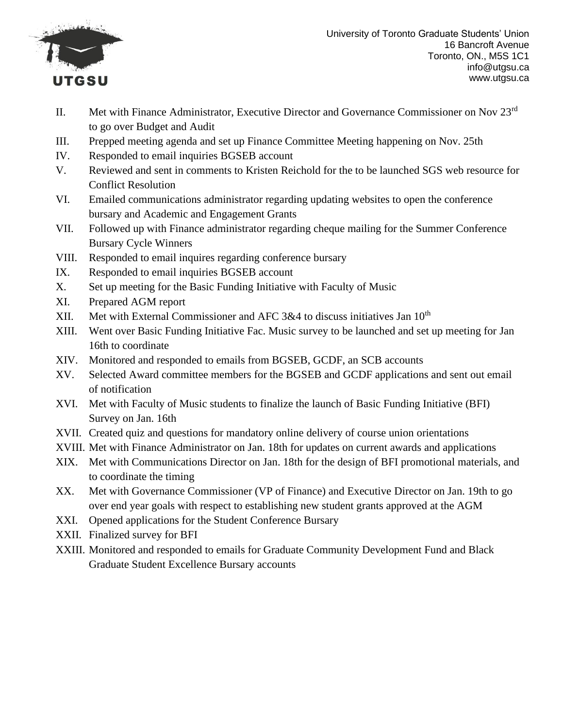

University of Toronto Graduate Students' Union 16 Bancroft Avenue Toronto, ON., M5S 1C1 info@utgsu.ca www.utgsu.ca

- II. Met with Finance Administrator, Executive Director and Governance Commissioner on Nov 23rd to go over Budget and Audit
- III. Prepped meeting agenda and set up Finance Committee Meeting happening on Nov. 25th
- IV. Responded to email inquiries BGSEB account
- V. Reviewed and sent in comments to Kristen Reichold for the to be launched SGS web resource for Conflict Resolution
- VI. Emailed communications administrator regarding updating websites to open the conference bursary and Academic and Engagement Grants
- VII. Followed up with Finance administrator regarding cheque mailing for the Summer Conference Bursary Cycle Winners
- VIII. Responded to email inquires regarding conference bursary
- IX. Responded to email inquiries BGSEB account
- X. Set up meeting for the Basic Funding Initiative with Faculty of Music
- XI. Prepared AGM report
- XII. Met with External Commissioner and AFC  $3&4$  to discuss initiatives Jan  $10<sup>th</sup>$
- XIII. Went over Basic Funding Initiative Fac. Music survey to be launched and set up meeting for Jan 16th to coordinate
- XIV. Monitored and responded to emails from BGSEB, GCDF, an SCB accounts
- XV. Selected Award committee members for the BGSEB and GCDF applications and sent out email of notification
- XVI. Met with Faculty of Music students to finalize the launch of Basic Funding Initiative (BFI) Survey on Jan. 16th
- XVII. Created quiz and questions for mandatory online delivery of course union orientations
- XVIII. Met with Finance Administrator on Jan. 18th for updates on current awards and applications
- XIX. Met with Communications Director on Jan. 18th for the design of BFI promotional materials, and to coordinate the timing
- XX. Met with Governance Commissioner (VP of Finance) and Executive Director on Jan. 19th to go over end year goals with respect to establishing new student grants approved at the AGM
- XXI. Opened applications for the Student Conference Bursary
- XXII. Finalized survey for BFI
- XXIII. Monitored and responded to emails for Graduate Community Development Fund and Black Graduate Student Excellence Bursary accounts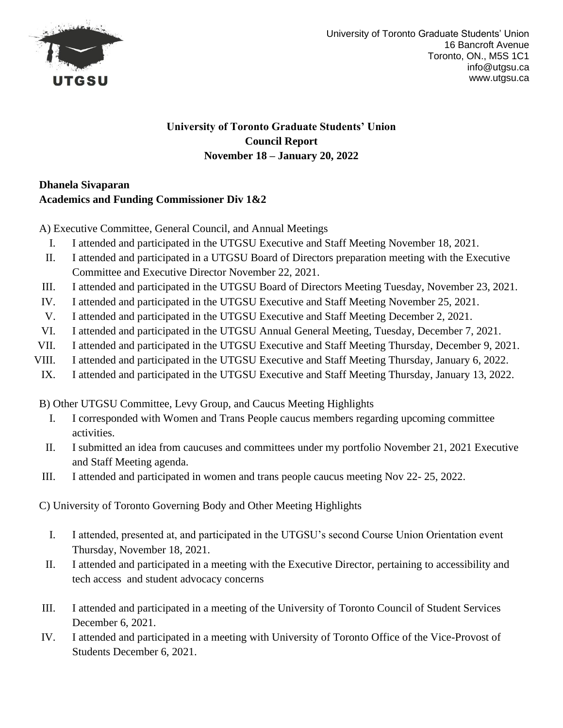

# **Dhanela Sivaparan Academics and Funding Commissioner Div 1&2**

A) Executive Committee, General Council, and Annual Meetings

- I. I attended and participated in the UTGSU Executive and Staff Meeting November 18, 2021.
- II. I attended and participated in a UTGSU Board of Directors preparation meeting with the Executive Committee and Executive Director November 22, 2021.
- III. I attended and participated in the UTGSU Board of Directors Meeting Tuesday, November 23, 2021.
- IV. I attended and participated in the UTGSU Executive and Staff Meeting November 25, 2021.
- V. I attended and participated in the UTGSU Executive and Staff Meeting December 2, 2021.
- VI. I attended and participated in the UTGSU Annual General Meeting, Tuesday, December 7, 2021.
- VII. I attended and participated in the UTGSU Executive and Staff Meeting Thursday, December 9, 2021.
- VIII. I attended and participated in the UTGSU Executive and Staff Meeting Thursday, January 6, 2022.
- IX. I attended and participated in the UTGSU Executive and Staff Meeting Thursday, January 13, 2022.

B) Other UTGSU Committee, Levy Group, and Caucus Meeting Highlights

- I. I corresponded with Women and Trans People caucus members regarding upcoming committee activities.
- II. I submitted an idea from caucuses and committees under my portfolio November 21, 2021 Executive and Staff Meeting agenda.
- III. I attended and participated in women and trans people caucus meeting Nov 22- 25, 2022.

C) University of Toronto Governing Body and Other Meeting Highlights

- I. I attended, presented at, and participated in the UTGSU's second Course Union Orientation event Thursday, November 18, 2021.
- II. I attended and participated in a meeting with the Executive Director, pertaining to accessibility and tech access and student advocacy concerns
- III. I attended and participated in a meeting of the University of Toronto Council of Student Services December 6, 2021.
- IV. I attended and participated in a meeting with University of Toronto Office of the Vice-Provost of Students December 6, 2021.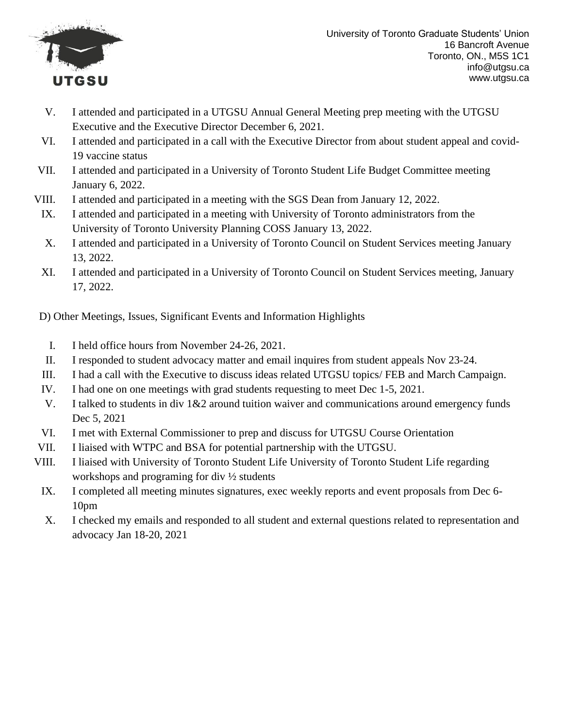

- V. I attended and participated in a UTGSU Annual General Meeting prep meeting with the UTGSU Executive and the Executive Director December 6, 2021.
- VI. I attended and participated in a call with the Executive Director from about student appeal and covid-19 vaccine status
- VII. I attended and participated in a University of Toronto Student Life Budget Committee meeting January 6, 2022.
- VIII. I attended and participated in a meeting with the SGS Dean from January 12, 2022.
	- IX. I attended and participated in a meeting with University of Toronto administrators from the University of Toronto University Planning COSS January 13, 2022.
	- X. I attended and participated in a University of Toronto Council on Student Services meeting January 13, 2022.
	- XI. I attended and participated in a University of Toronto Council on Student Services meeting, January 17, 2022.

D) Other Meetings, Issues, Significant Events and Information Highlights

- I. I held office hours from November 24-26, 2021.
- II. I responded to student advocacy matter and email inquires from student appeals Nov 23-24.
- III. I had a call with the Executive to discuss ideas related UTGSU topics/ FEB and March Campaign.
- IV. I had one on one meetings with grad students requesting to meet Dec 1-5, 2021.
- V. I talked to students in div 1&2 around tuition waiver and communications around emergency funds Dec 5, 2021
- VI. I met with External Commissioner to prep and discuss for UTGSU Course Orientation
- VII. I liaised with WTPC and BSA for potential partnership with the UTGSU.
- VIII. I liaised with University of Toronto Student Life University of Toronto Student Life regarding workshops and programing for div ½ students
	- IX. I completed all meeting minutes signatures, exec weekly reports and event proposals from Dec 6- 10pm
	- X. I checked my emails and responded to all student and external questions related to representation and advocacy Jan 18-20, 2021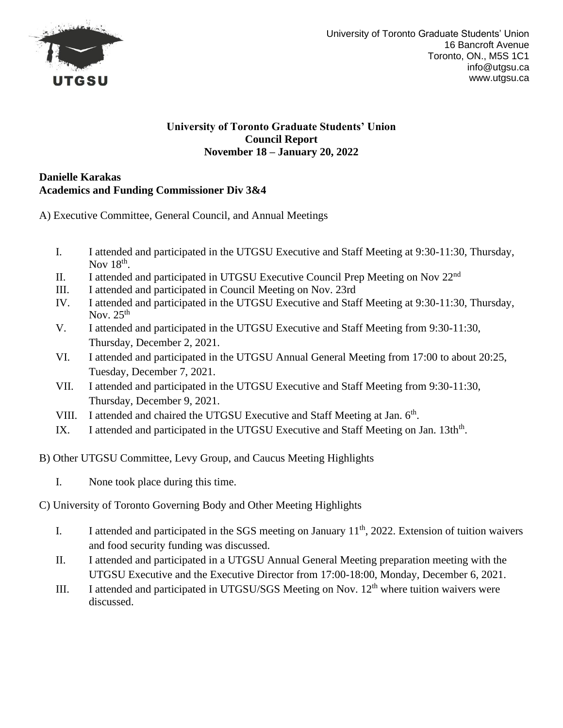

### **Danielle Karakas Academics and Funding Commissioner Div 3&4**

A) Executive Committee, General Council, and Annual Meetings

- I. I attended and participated in the UTGSU Executive and Staff Meeting at 9:30-11:30, Thursday, Nov  $18<sup>th</sup>$ .
- II. I attended and participated in UTGSU Executive Council Prep Meeting on Nov 22nd
- III. I attended and participated in Council Meeting on Nov. 23rd
- IV. I attended and participated in the UTGSU Executive and Staff Meeting at 9:30-11:30, Thursday, Nov.  $25<sup>th</sup>$
- V. I attended and participated in the UTGSU Executive and Staff Meeting from 9:30-11:30, Thursday, December 2, 2021.
- VI. I attended and participated in the UTGSU Annual General Meeting from 17:00 to about 20:25, Tuesday, December 7, 2021.
- VII. I attended and participated in the UTGSU Executive and Staff Meeting from 9:30-11:30, Thursday, December 9, 2021.
- VIII. I attended and chaired the UTGSU Executive and Staff Meeting at Jan. 6<sup>th</sup>.
- IX. I attended and participated in the UTGSU Executive and Staff Meeting on Jan. 13th<sup>th</sup>.
- B) Other UTGSU Committee, Levy Group, and Caucus Meeting Highlights
	- I. None took place during this time.
- C) University of Toronto Governing Body and Other Meeting Highlights
	- I. I attended and participated in the SGS meeting on January  $11<sup>th</sup>$ , 2022. Extension of tuition waivers and food security funding was discussed.
	- II. I attended and participated in a UTGSU Annual General Meeting preparation meeting with the UTGSU Executive and the Executive Director from 17:00-18:00, Monday, December 6, 2021.
	- III. I attended and participated in UTGSU/SGS Meeting on Nov.  $12<sup>th</sup>$  where tuition waivers were discussed.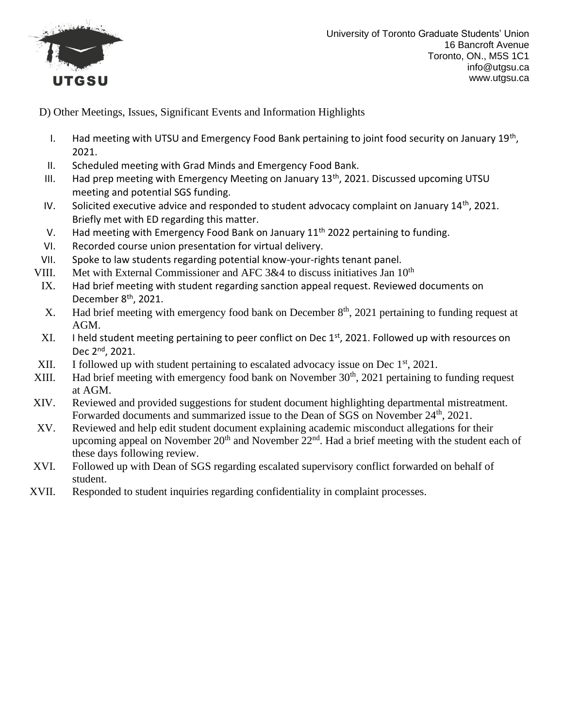

D) Other Meetings, Issues, Significant Events and Information Highlights

- I. Had meeting with UTSU and Emergency Food Bank pertaining to joint food security on January 19<sup>th</sup>, 2021.
- II. Scheduled meeting with Grad Minds and Emergency Food Bank.
- III. Had prep meeting with Emergency Meeting on January  $13<sup>th</sup>$ , 2021. Discussed upcoming UTSU meeting and potential SGS funding.
- IV. Solicited executive advice and responded to student advocacy complaint on January 14<sup>th</sup>, 2021. Briefly met with ED regarding this matter.
- V. Had meeting with Emergency Food Bank on January  $11<sup>th</sup>$  2022 pertaining to funding.
- VI. Recorded course union presentation for virtual delivery.
- VII. Spoke to law students regarding potential know-your-rights tenant panel.
- VIII. Met with External Commissioner and AFC  $3&4$  to discuss initiatives Jan  $10<sup>th</sup>$ 
	- IX. Had brief meeting with student regarding sanction appeal request. Reviewed documents on December 8<sup>th</sup>, 2021.
	- X. Had brief meeting with emergency food bank on December  $8<sup>th</sup>$ , 2021 pertaining to funding request at AGM.
	- XI. I held student meeting pertaining to peer conflict on Dec 1<sup>st</sup>, 2021. Followed up with resources on Dec 2nd, 2021.
- XII. I followed up with student pertaining to escalated advocacy issue on Dec  $1<sup>st</sup>$ , 2021.
- XIII. Had brief meeting with emergency food bank on November  $30<sup>th</sup>$ , 2021 pertaining to funding request at AGM.
- XIV. Reviewed and provided suggestions for student document highlighting departmental mistreatment. Forwarded documents and summarized issue to the Dean of SGS on November 24<sup>th</sup>, 2021.
- XV. Reviewed and help edit student document explaining academic misconduct allegations for their upcoming appeal on November  $20<sup>th</sup>$  and November  $22<sup>nd</sup>$ . Had a brief meeting with the student each of these days following review.
- XVI. Followed up with Dean of SGS regarding escalated supervisory conflict forwarded on behalf of student.
- XVII. Responded to student inquiries regarding confidentiality in complaint processes.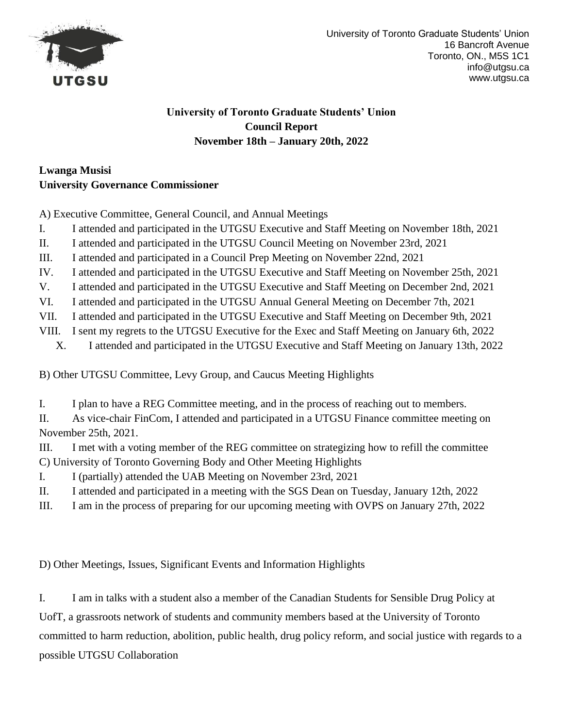

# **Lwanga Musisi University Governance Commissioner**

A) Executive Committee, General Council, and Annual Meetings

- I. I attended and participated in the UTGSU Executive and Staff Meeting on November 18th, 2021
- II. I attended and participated in the UTGSU Council Meeting on November 23rd, 2021
- III. I attended and participated in a Council Prep Meeting on November 22nd, 2021
- IV. I attended and participated in the UTGSU Executive and Staff Meeting on November 25th, 2021
- V. I attended and participated in the UTGSU Executive and Staff Meeting on December 2nd, 2021
- VI. I attended and participated in the UTGSU Annual General Meeting on December 7th, 2021
- VII. I attended and participated in the UTGSU Executive and Staff Meeting on December 9th, 2021
- VIII. I sent my regrets to the UTGSU Executive for the Exec and Staff Meeting on January 6th, 2022
	- X. I attended and participated in the UTGSU Executive and Staff Meeting on January 13th, 2022

B) Other UTGSU Committee, Levy Group, and Caucus Meeting Highlights

I. I plan to have a REG Committee meeting, and in the process of reaching out to members.

II. As vice-chair FinCom, I attended and participated in a UTGSU Finance committee meeting on November 25th, 2021.

III. I met with a voting member of the REG committee on strategizing how to refill the committee C) University of Toronto Governing Body and Other Meeting Highlights

- I. I (partially) attended the UAB Meeting on November 23rd, 2021
- II. I attended and participated in a meeting with the SGS Dean on Tuesday, January 12th, 2022
- III. I am in the process of preparing for our upcoming meeting with OVPS on January 27th, 2022

D) Other Meetings, Issues, Significant Events and Information Highlights

I. I am in talks with a student also a member of the Canadian Students for Sensible Drug Policy at UofT, a grassroots network of students and community members based at the University of Toronto committed to harm reduction, abolition, public health, drug policy reform, and social justice with regards to a possible UTGSU Collaboration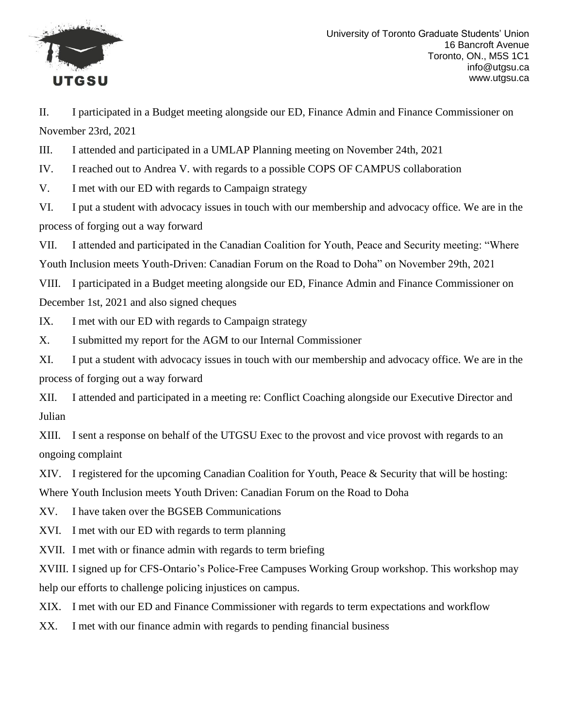

II. I participated in a Budget meeting alongside our ED, Finance Admin and Finance Commissioner on November 23rd, 2021

III. I attended and participated in a UMLAP Planning meeting on November 24th, 2021

IV. I reached out to Andrea V. with regards to a possible COPS OF CAMPUS collaboration

V. I met with our ED with regards to Campaign strategy

VI. I put a student with advocacy issues in touch with our membership and advocacy office. We are in the process of forging out a way forward

VII. I attended and participated in the Canadian Coalition for Youth, Peace and Security meeting: "Where Youth Inclusion meets Youth-Driven: Canadian Forum on the Road to Doha" on November 29th, 2021

VIII. I participated in a Budget meeting alongside our ED, Finance Admin and Finance Commissioner on December 1st, 2021 and also signed cheques

IX. I met with our ED with regards to Campaign strategy

X. I submitted my report for the AGM to our Internal Commissioner

XI. I put a student with advocacy issues in touch with our membership and advocacy office. We are in the process of forging out a way forward

XII. I attended and participated in a meeting re: Conflict Coaching alongside our Executive Director and Julian

XIII. I sent a response on behalf of the UTGSU Exec to the provost and vice provost with regards to an ongoing complaint

XIV. I registered for the upcoming Canadian Coalition for Youth, Peace & Security that will be hosting:

Where Youth Inclusion meets Youth Driven: Canadian Forum on the Road to Doha

XV. I have taken over the BGSEB Communications

XVI. I met with our ED with regards to term planning

XVII. I met with or finance admin with regards to term briefing

XVIII. I signed up for CFS-Ontario's Police-Free Campuses Working Group workshop. This workshop may help our efforts to challenge policing injustices on campus.

XIX. I met with our ED and Finance Commissioner with regards to term expectations and workflow

XX. I met with our finance admin with regards to pending financial business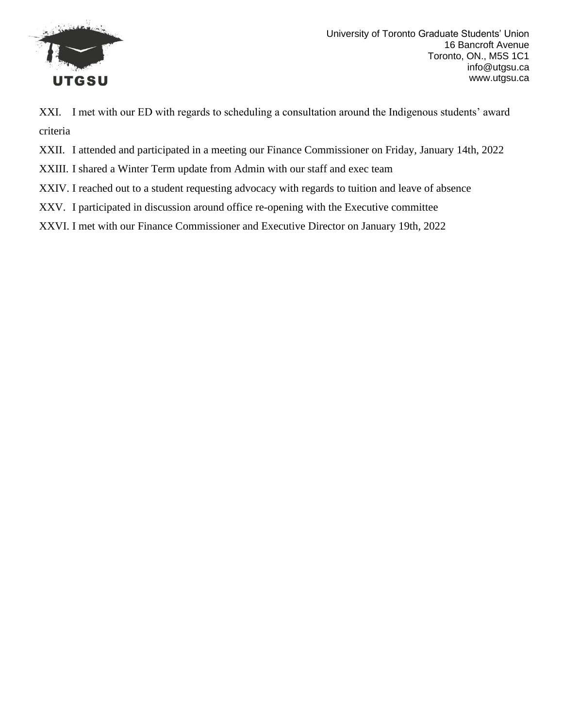

XXI. I met with our ED with regards to scheduling a consultation around the Indigenous students' award criteria

XXII. I attended and participated in a meeting our Finance Commissioner on Friday, January 14th, 2022

XXIII. I shared a Winter Term update from Admin with our staff and exec team

XXIV. I reached out to a student requesting advocacy with regards to tuition and leave of absence

XXV. I participated in discussion around office re-opening with the Executive committee

XXVI. I met with our Finance Commissioner and Executive Director on January 19th, 2022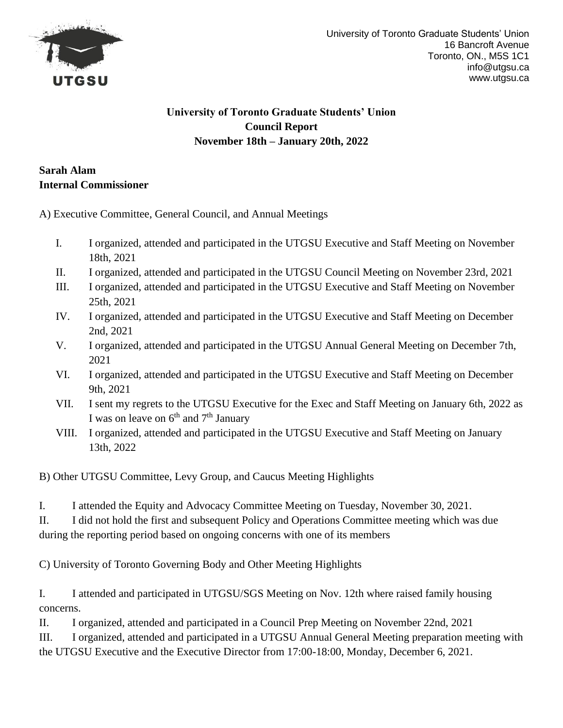

## **Sarah Alam Internal Commissioner**

A) Executive Committee, General Council, and Annual Meetings

- I. I organized, attended and participated in the UTGSU Executive and Staff Meeting on November 18th, 2021
- II. I organized, attended and participated in the UTGSU Council Meeting on November 23rd, 2021
- III. I organized, attended and participated in the UTGSU Executive and Staff Meeting on November 25th, 2021
- IV. I organized, attended and participated in the UTGSU Executive and Staff Meeting on December 2nd, 2021
- V. I organized, attended and participated in the UTGSU Annual General Meeting on December 7th, 2021
- VI. I organized, attended and participated in the UTGSU Executive and Staff Meeting on December 9th, 2021
- VII. I sent my regrets to the UTGSU Executive for the Exec and Staff Meeting on January 6th, 2022 as I was on leave on 6<sup>th</sup> and 7<sup>th</sup> January
- VIII. I organized, attended and participated in the UTGSU Executive and Staff Meeting on January 13th, 2022

B) Other UTGSU Committee, Levy Group, and Caucus Meeting Highlights

I. I attended the Equity and Advocacy Committee Meeting on Tuesday, November 30, 2021.

II. I did not hold the first and subsequent Policy and Operations Committee meeting which was due during the reporting period based on ongoing concerns with one of its members

C) University of Toronto Governing Body and Other Meeting Highlights

I. I attended and participated in UTGSU/SGS Meeting on Nov. 12th where raised family housing concerns.

II. I organized, attended and participated in a Council Prep Meeting on November 22nd, 2021

III. I organized, attended and participated in a UTGSU Annual General Meeting preparation meeting with the UTGSU Executive and the Executive Director from 17:00-18:00, Monday, December 6, 2021.